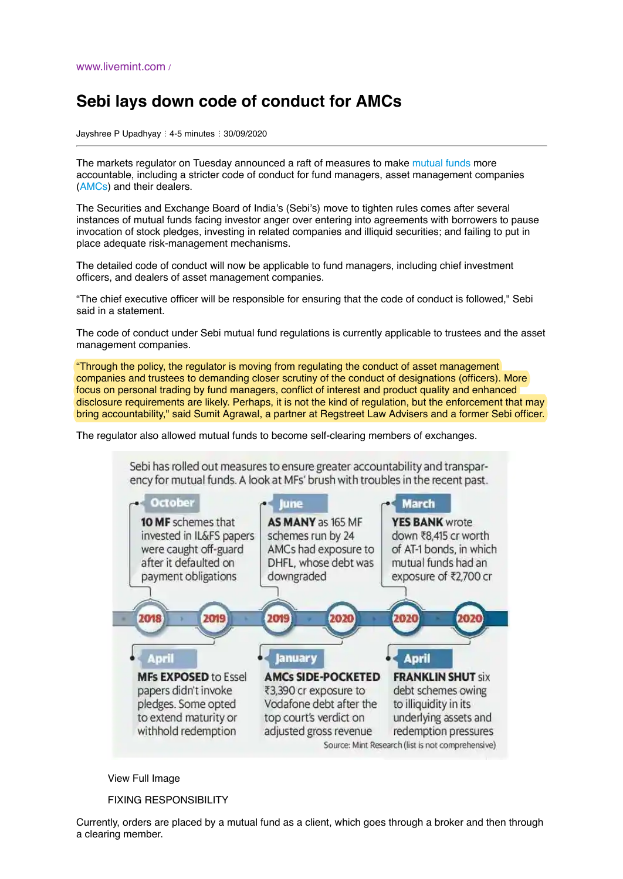## **Sebi lays down code of conduct for AMCs**

Jayshree P Upadhyay : 4-5 minutes : 30/09/2020

The markets regulator on Tuesday announced a raft of measures to make [mutual funds](https://www.livemint.com/market/stock-market-news/sebi-gives-more-time-to-mfs-trustees-to-appoint-dedicated-officer-11600865319388.html) more accountable, including a stricter code of conduct for fund managers, asset management companies [\(AMCs\)](https://www.livemint.com/companies/company-results/brokers-amcs-see-better-june-quarter-earnings-than-insurers-11597127829971.html) and their dealers.

The Securities and Exchange Board of India's (Sebi's) move to tighten rules comes after several instances of mutual funds facing investor anger over entering into agreements with borrowers to pause invocation of stock pledges, investing in related companies and illiquid securities; and failing to put in place adequate risk-management mechanisms.

The detailed code of conduct will now be applicable to fund managers, including chief investment officers, and dealers of asset management companies.

"The chief executive officer will be responsible for ensuring that the code of conduct is followed," Sebi said in a statement.

The code of conduct under Sebi mutual fund regulations is currently applicable to trustees and the asset management companies.

"Through the policy, the regulator is moving from regulating the conduct of asset management companies and trustees to demanding closer scrutiny of the conduct of designations (officers). More focus on personal trading by fund managers, conflict of interest and product quality and enhanced disclosure requirements are likely. Perhaps, it is not the kind of regulation, but the enforcement that may bring accountability," said Sumit Agrawal, a partner at Regstreet Law Advisers and a former Sebi officer.

The regulator also allowed mutual funds to become self-clearing members of exchanges.

Sebi has rolled out measures to ensure greater accountability and transparency for mutual funds. A look at MFs' brush with troubles in the recent past.



View Full Image

FIXING RESPONSIBILITY

Currently, orders are placed by a mutual fund as a client, which goes through a broker and then through a clearing member.